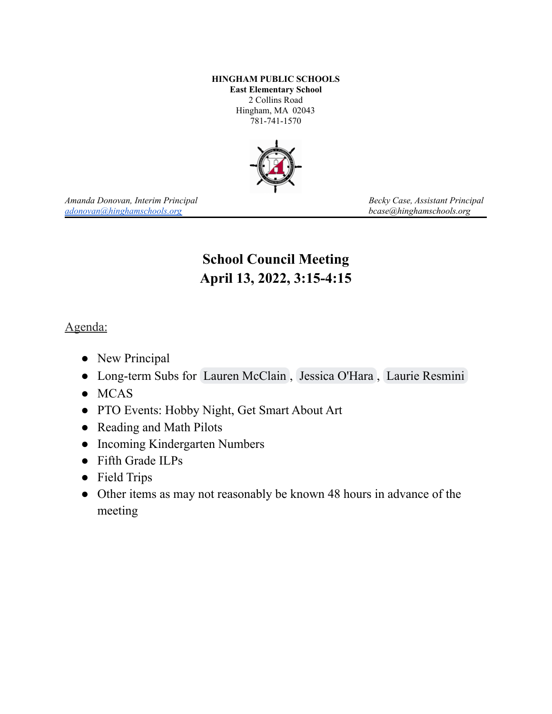### **HINGHAM PUBLIC SCHOOLS East Elementary School** 2 Collins Road Hingham, MA 02043 781-741-1570



*Amanda Donovan, Interim Principal Becky Case, Assistant Principal [adonovan@hinghamschools.org](mailto:adonovan@hinghamschools.org) bcase@hinghamschools.org*

# **School Council Meeting April 13, 2022, 3:15-4:15**

## Agenda:

- New Principal
- Long-term Subs for Lauren [McClain](mailto:lmcclain@hinghamschools.org) , Jessica [O'Hara](mailto:johara@hinghamschools.org) , Laurie [Resmini](mailto:lresmini@hinghamschools.org)
- MCAS
- PTO Events: Hobby Night, Get Smart About Art
- Reading and Math Pilots
- Incoming Kindergarten Numbers
- Fifth Grade ILPs
- Field Trips
- Other items as may not reasonably be known 48 hours in advance of the meeting